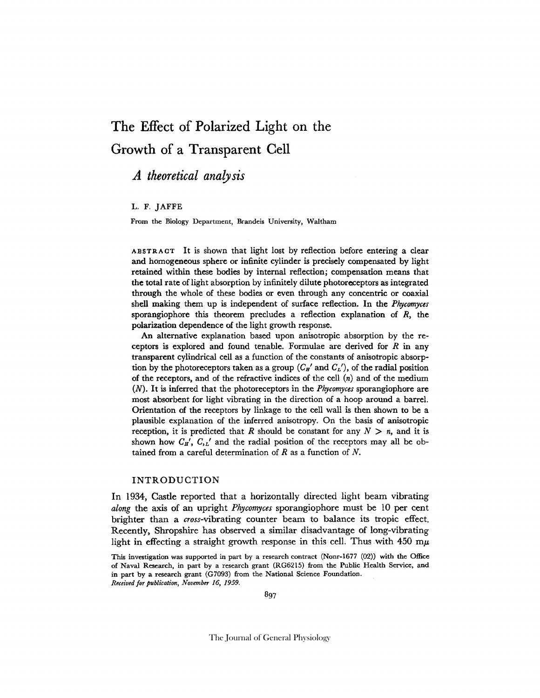# **The Effect of Polarized Light on the Growth of a Transparent Cell**

# *A theoretical analysis*

#### L. F. JAFFE

From the Biology Department, Brandeis University, Waltham

ABSTRACT It is shown that light lost by reflection before entering a clear and homogeneous sphere or infinite cylinder is precisely compensated by light retained within these bodies by internal reflection; compensation means that the total rate of light absorption by infinitely dilute photoreceptors as integrated through the whole of these bodies or even through any concentric or coaxial shell making them up is independent of surface reflection. In the *Phycomyces*  sporangiophore this theorem precludes a reflection explanation of  $R$ , the polarization dependence of the light growth response.

An alternative explanation based upon anisotropic absorption by the receptors is explored and found tenable. Formulae are derived for  $R$  in any transparent cylindrical cell as a function of the constants of anisotropic absorption by the photoreceptors taken as a group  $(C_H'$  and  $C_L'$ ), of the radial position of the receptors, and of the refractive indices of the cell  $(n)$  and of the medium (N). It is inferred that the photoreeeptors in the *Phycomyces* sporangiophore are most absorbent for light vibrating in the direction of a hoop around a barrel. Orientation of the receptors by linkage to the cell wall is then shown to be a plausible explanation of the inferred anisotropy. On the basis of anisotropic reception, it is predicted that R should be constant for any  $N > n$ , and it is shown how  $C_{H}$ ,  $C_{L}$  and the radial position of the receptors may all be obtained from a careful determination of  $R$  as a function of  $N$ .

#### INTRODUCTION

In 1934, Castle reported that a horizontally directed light beam vibrating *along* the axis of an upright *Phycomyces* sporangiophore must be 10 per cent brighter than a *cross-vibrating* counter beam to balance its tropic effect. Recently, Shropshire has observed a similar disadvantage of long-vibrating light in effecting a straight growth response in this cell. Thus with  $450 \text{ m}\mu$ 

This investigation was supported in part by a research contract (Nonr-1677 (02)) with the Office of Naval Research, in part by a research grant (RG6215) from the Public Health Service, and in part by a research grant (G7093) from the National Science Foundation. *Received for publication, November 16, 1959.*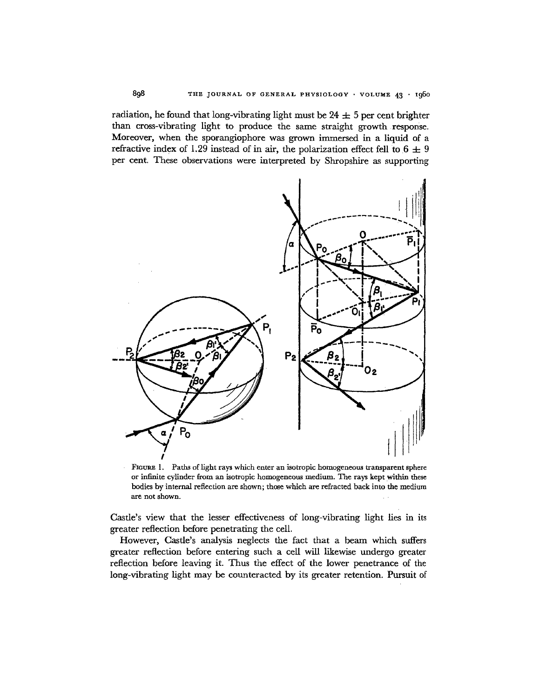radiation, he found that long-vibrating light must be  $24 \pm 5$  per cent brighter than cross-vibrating light to produce the same straight growth .response. Moreover, when the sporangiophore was grown immersed in a liquid of a refractive index of 1.29 instead of in air, the polarization effect fell to  $6 \pm 9$ per cent. These observations were interpreted by Shropshire as supporting



FIGURE 1. Paths of light rays which enter an isotropic homogeneous transparent sphere or infinite cylinder from an isotropic homogeneous medium. The rays kept within these bodies by internal reflection are shown; those which are refracted back into the medium are not shown.

Castle's view that the lesser effectiveness of long-vibrating light lies in its greater reflection before penetrating the ceil.

However, Castle's analysis neglects the fact that a beam which suffers greater reflection before entering such a cell will likewise undergo greater reflection before leaving it. Thus the effect of the lower penetrance of the long-vibrating light may be counteracted by its greater retention. Pursuit of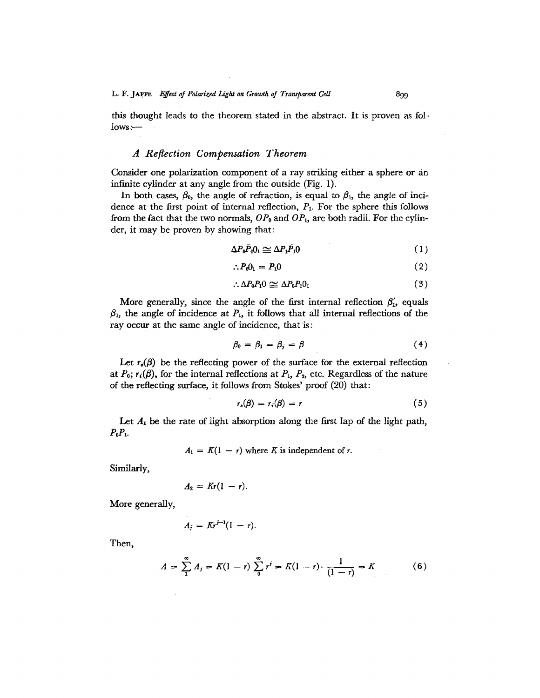this thought leads to the theorem stated in the abstract. It is proven as follows:-

### *A Reflection Compensation Theorem*

Consider one polarization component of a ray striking either a sphere or an infinite cylinder at any angle from the outside (Fig. I).

In both cases,  $\beta_0$ , the angle of refraction, is equal to  $\beta_1$ , the angle of incidence at the first point of internal reflection,  $P_1$ . For the sphere this follows from the fact that the two normals,  $OP_0$  and  $OP_1$ , are both radii. For the cylinder, it may be proven by showing that:

$$
\Delta P_0 \bar{P}_0 0_1 \simeq \Delta P_1 \bar{P}_1 0 \tag{1}
$$

$$
\therefore P_0 \mathbf{0}_1 = P_1 \mathbf{0} \tag{2}
$$

$$
\therefore \Delta P_0 P_1 0 \simeq \Delta P_0 P_1 0_1 \tag{3}
$$

More generally, since the angle of the first internal reflection  $\beta'_{1}$ , equals  $\beta_1$ , the angle of incidence at  $P_1$ , it follows that all internal reflections of the ray occur at the same angle of incidence, that is:

$$
\beta_0 = \beta_1 = \beta_j = \beta \tag{4}
$$

Let  $r_{\epsilon}(\beta)$  be the reflecting power of the surface for the external reflection at  $P_0$ ;  $r_i(\beta)$ , for the internal reflections at  $P_1$ ,  $P_2$ , etc. Regardless of the nature of the reflecting surface, it follows from Stokes' proof (20) that:

$$
r_s(\beta) = r_i(\beta) = r \tag{5}
$$

Let  $A_1$  be the rate of light absorption along the first lap of the light path,  $P_0P_1$ .

 $A_1 = K(1 - r)$  where K is independent of r.

Similarly,

$$
A_2=Kr(1-r).
$$

More generally,

$$
A_i = K r^{j-1} (1-r).
$$

Then,

$$
A = \sum_{1}^{\infty} A_j = K(1 - r) \sum_{0}^{\infty} r^j = K(1 - r) \cdot \frac{1}{(1 - r)} = K \tag{6}
$$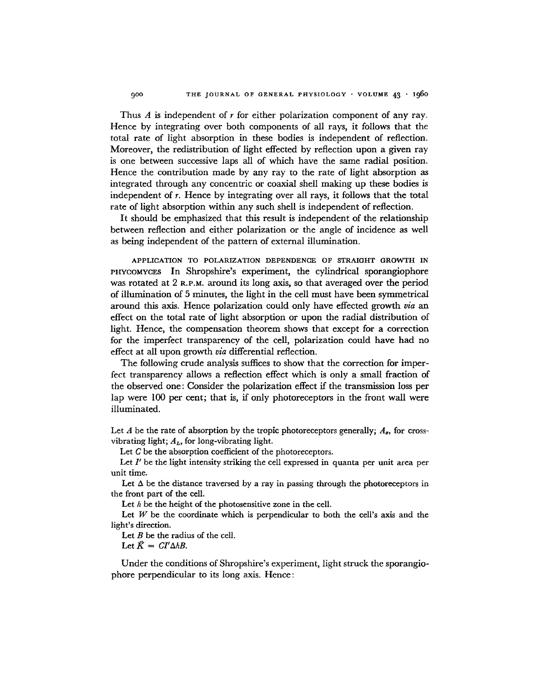Thus  $A$  is independent of  $r$  for either polarization component of any ray. Hence by integrating over both components of all rays, it follows that the total rate of light absorption in these bodies is independent of reflection. Moreover, the redistribution of light effected by reflection upon a given ray is one between successive laps all of which have the same radial position. Hence the contribution made by any ray to the rate of light absorption as integrated through any concentric or coaxial shell making up these bodies is independent of r. Hence by integrating over all rays, it follows that the total rate of light absorption within any such shell is independent of reflection.

It should be emphasized that this result is independent of the relationship between reflection and either polarization or the angle of incidence as well as being independent of the pattern of external illumination.

APPLICATION TO POLARIZATION DEPENDENCE OF STRAIGHT GROWTH IN PHYCOMYCES In Shropshire's experiment, the cylindrical sporangiophore was rotated at 2 R.P.M. around its long axis, so that averaged over the period of illumination of 5 minutes, the light in the cell must have been symmetrical around this axis. Hence polarization could only have effccted growth *via* an effect on the total rate of light absorption or upon the radial distribution of light. Hence, the compensation theorem shows that except for a correction for the imperfect transparency of the cell, polarization could have had no effect at all upon growth *via* differential reflection.

The following crude analysis suffices to show that the correction for imperfect transparency allows a reflection effect which is only a small fraction of the observed one: Consider the polarization effect if the transmission loss per lap were 100 per cent; that is, if only photorcceptors in the front wall were illuminated.

Let A be the rate of absorption by the tropic photoreceptors generally;  $A_{z}$ , for crossvibrating light;  $A_L$ , for long-vibrating light.

Let C be the absorption coefficient of the photoreceptors.

Let  $I'$  be the light intensity striking the cell expressed in quanta per unit area per unit time.

Let  $\Delta$  be the distance traversed by a ray in passing through the photoreceptors in the front part of the cell.

Let  $h$  be the height of the photosensitive zone in the cell.

Let  $W$  be the coordinate which is perpendicular to both the cell's axis and the light's direction.

Let  $B$  be the radius of the cell.

Let  $\vec{K} = CI'\Delta hB$ .

Under the conditions of Shropshire's experiment, light struck the sporangiophore perpendicular to its long axis. Hence: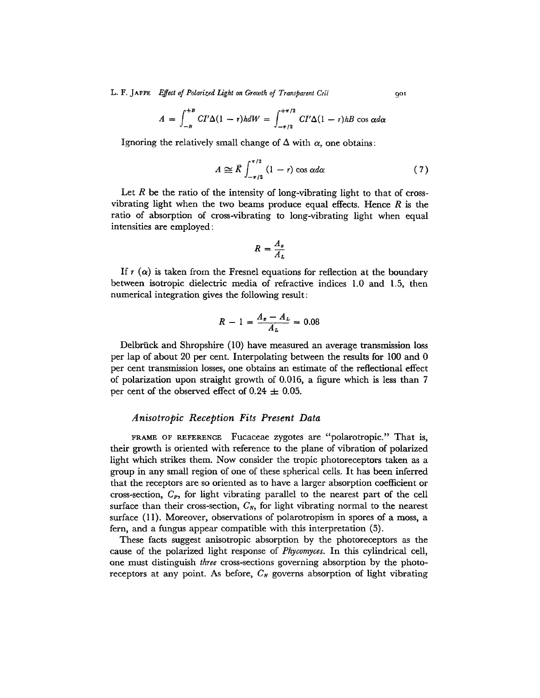L. F. JAFFE *Effect of Polarized Light on Growth of Transparent Cell* 901

$$
A = \int_{-B}^{+B} CI'\Delta(1-r)h dW = \int_{-\pi/2}^{+\pi/2} CI'\Delta(1-r)hB \cos \alpha d\alpha
$$

Ignoring the relatively small change of  $\Delta$  with  $\alpha$ , one obtains:

$$
A \cong \overline{K} \int_{-\pi/2}^{\pi/2} (1-r) \cos \alpha d\alpha \tag{7}
$$

Let R be the ratio of the intensity of long-vibrating light to that of crossvibrating light when the two beams produce equal effects. Hence  $R$  is the ratio of absorption of cross-vibrating to long-vibrating light when equal intensities are employed:

$$
R=\frac{A_x}{A_L}
$$

If  $r(\alpha)$  is taken from the Fresnel equations for reflection at the boundary between isotropic dielectric media of refractive indices 1.0 and 1.5, then numerical integration gives the following result:

$$
R - 1 = \frac{A_z - A_L}{A_L} = 0.08
$$

Delbrück and Shropshire (10) have measured an average transmission loss per lap of about 20 per cent. Interpolating between the results for 100 and 0 per cent transmission losses, one obtains an estimate of the reflectional effect of polarization upon straight growth of 0.016, a figure which is less than 7 per cent of the observed effect of  $0.24 \pm 0.05$ .

### *Anisotropic Reception Fits Present Data*

FRAME OF REFERENCE Fucaceae zygotes are "polarotropic." That is, their growth is oriented with reference to the plane of vibration of polarized light which strikes them. Now consider the tropic photoreceptors taken as a group in any small region of one of these spherical cells. It has been inferred that the receptors are so oriented as to have a larger absorption coefficient or cross-section, *Cp,* for light vibrating parallel to the nearest part of the cell surface than their cross-section,  $C_{N}$ , for light vibrating normal to the nearest surface (11). Moreover, observations of polarotropism in spores of a moss, a fern, and a fungus appear compatible with this interpretation (5).

These facts suggest anisotropic absorption by the photoreceptors as the cause of the polarized light response of *Phycomyces.* In this cylindrical cell, one must distinguish *three* cross-sections governing absorption by the photoreceptors at any point. As before,  $C_N$  governs absorption of light vibrating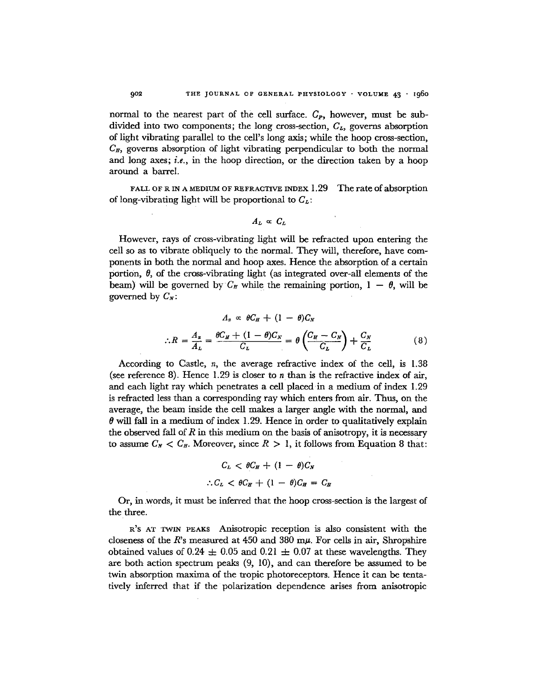normal to the nearest part of the cell surface.  $C_{P}$ , however, must be subdivided into two components; the long cross-section,  $C_L$ , governs absorption of light vibrating parallel to the cell's long axis; while the hoop cross-section,  $C_{\mathbf{F}}$ , governs absorption of light vibrating perpendicular to both the normal and long axes; *i.e., in* the hoop direction, or the direction taken by a hoop around a barrel.

FALL OF R IN A MEDIUM OF REFRACTIVE INDEX 1.29 The rate of absorption of long-vibrating light will be proportional to  $C_{\mathcal{L}}$ :

$$
A_L \propto C_L
$$

However, rays of cross-vibrating light will be refracted upon entering the cell so as to vibrate obliquely to the normal. They will, therefore, have components in both the normal and hoop axes. Hence the absorption of a certain portion,  $\theta$ , of the cross-vibrating light (as integrated over-all elements of the beam) will be governed by  $C_{\pi}$  while the remaining portion,  $1 - \theta$ , will be governed by  $C_N$ :

$$
A_x \propto \theta C_H + (1 - \theta) C_N
$$
  

$$
\therefore R = \frac{A_x}{A_L} = \frac{\theta C_H + (1 - \theta) C_N}{C_L} = \theta \left(\frac{C_H - C_N}{C_L}\right) + \frac{C_N}{C_L} \tag{8}
$$

According to Castle, n, the average refractive index of the cell, is 1.38 (see reference 8). Hence 1.29 is closer to *n* than is the refractive index of air, and each light ray which penetrates a cell placedin a medium of index 1.29 is refracted less than a corresponding ray which enters from air. Thus, on the average, the beam inside the cell makes a larger angle with the normal, and  $\theta$  will fall in a medium of index 1.29. Hence in order to qualitatively explain the observed fall of R in this medium on the basis of anisotropy, it is necessary to assume  $C_N < C_E$ . Moreover, since  $R > 1$ , it follows from Equation 8 that:

$$
C_L < \theta C_H + (1 - \theta) C_N
$$
\n
$$
\therefore C_L < \theta C_H + (1 - \theta) C_H = C_H
$$

Or, in .words, it must be inferred that the hoop cross-section is the largest of the three.

R'S AT TWIN PEAKS Anisotropic reception is also consistent with the closeness of the R's measured at  $450$  and  $380$  m $\mu$ . For cells in air, Shropshire obtained values of 0.24  $\pm$  0.05 and 0.21  $\pm$  0.07 at these wavelengths. They are both action spectrum peaks (9, 10), and can therefore be assumed to be twin absorption maxima of the tropic photoreceptors. Hence it can be tentatively inferred that if the polarization dependence arises from anisotropic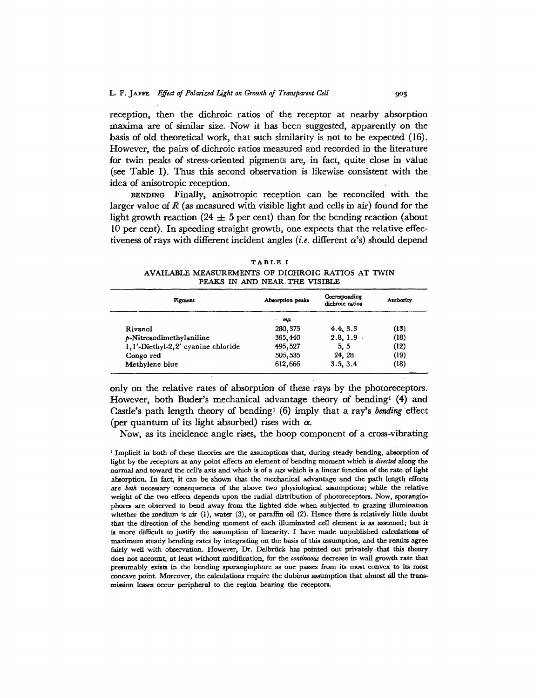reception, then the dichroic ratios of the receptor at nearby absorption maxima are of similar size. Now it has been suggested, apparently on the basis of old theoretical work, that such similarity is not to be expected (16). However, the pairs of dichroic ratios measured and recorded in the literature for twin peaks of stress-oriented pigments are, in fact, quite close in value (see Table I). Thus this second observation is likewise consistent with the idea of anlsotropic reception.

BENDING Finally, anisotropic reception can be reconciled with the larger value of  $R$  (as measured with visible light and cells in air) found for the light growth reaction (24  $\pm$  5 per cent) than for the bending reaction (about 10 per cent). In speeding straight growth, one expects that the relative effectiveness of rays with different incident angles *(i.e.* different  $\alpha$ 's) should depend

|  |  | ۰<br>۰. |  |
|--|--|---------|--|
|--|--|---------|--|

AVAILABLE MEASUREMENTS OF DICHROIC RATIOS AT TWIN PEAKS IN AND NEAR THE VISIBLE

| Pigment                              | Absorption peaks | Corresponding<br>dichroic ratios | <b>Authority</b> |
|--------------------------------------|------------------|----------------------------------|------------------|
|                                      | mu               |                                  |                  |
| Rivanol                              | 280, 375         | 4.4, 3.3                         | (13)             |
| $p$ -Nitrosodimethylaniline          | 365,440          | 2.8, 1.9                         | (18)             |
| 1, l'-Diethyl-2, 2' cyanine chloride | 495,527          | 5, 5                             | (12)             |
| Congo red                            | 505,535          | 24.28                            | (19)             |
| Methylene blue                       | 612,666          | 3.5, 3.4                         | (18)             |

only on the relative rates of absorption of these rays by the photoreceptors. However, both Buder's mechanical advantage theory of bending  $(4)$  and Castle's path length theory of bending<sup>1</sup> (6) imply that a ray's *bending* effect (per quantum of its light absorbed) rises with  $\alpha$ .

Now, as its incidence angle rises, the hoop component of a cross-vibrating

<sup>1</sup> Implicit in both of these theories are the assumptions that, during steady bending, absorption of light by the receptors at any point effects an element of bending moment which is directed along the normal and toward the cell's axis and which is of a size which is a linear function of the rate of light absorption. In fact, it can be shown that the mechanical advantage and the path length effects *are both* necessary consequences of the above two physiological assumptions; while the relative weight of the two effects depends upon the radial distribution of photoreceptors. Now, sporangiophores are observed to bend away from the lighted side when subjected to grazing illumination whether the medium is air (1), water (3), or paraffin oil (2). Hence there is rclatively little doubt that the direction of the bending moment of each illuminated cell element is as assumed; but it is more difficult to justify the assumption of linearity. I have made unpublished calculations of maximum steady bending rates by integrating on the basis of this assumption, and the results agree fairly well with observation. However, Dr. Delbrück has pointed out privately that this theory does not account, at least without modification, for the *continuous* decrease in wall growth rate that presumably exists in the bending sporangiophore as one pames from its most convex to its most concave point. Moreover, the calculations require the dubious assumption that almost all the transmission losses occur peripheral to the region bearing the receptors.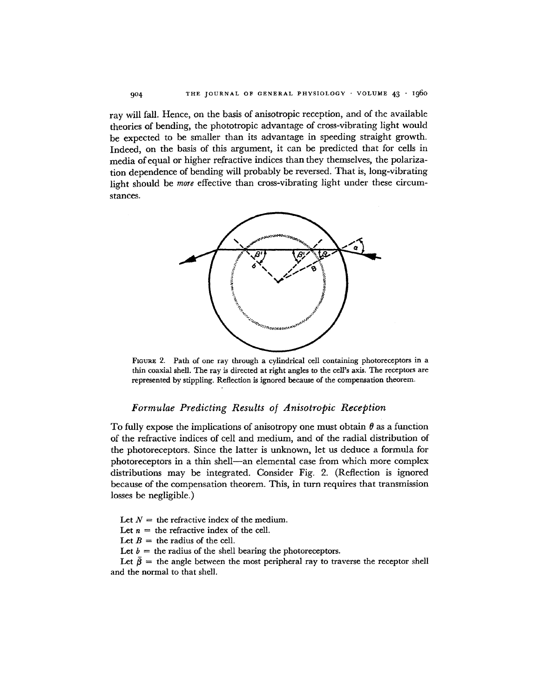ray will fall. Hence, on the basis of anisotropic reception, and of the available theories of bending, the phototropic advantage of cross-vibrating light would be expected to be smaller than its advantage in speeding straight growth. Indeed, on the basis of this argument, it can be predicted that for cells in media of equal or higher refractive indices than they themselves, the polarization dependence of bending will probably be reversed. That is, long-vibrating light should be *more* effective than cross-vibrating light under these circumstances.



FIGURE 2. Path of one ray through a cylindrical cell containing photoreceptors in a thin coaxial shell. The ray is directed at right angles to the cell's axis. The receptors are represented by stippling. Reflection is ignored because of the compensation theorem.

# *Formulae Predicting Results of Anisotropic Reception*

To fully expose the implications of anisotropy one must obtain  $\theta$  as a function of the refractive indices of cell and medium, and of the radial distribution of the photoreceptors. Since the latter is unknown, let us deduce a formula for photoreceptors in a thin shell--an elemental case from which more complex distributions may be integrated. Consider Fig. 2. (Reflection is ignored because of the compensation theorem. This, in turn requires that transmission losses be negligible.)

Let  $N =$  the refractive index of the medium.

Let  $n =$  the refractive index of the cell.

Let  $B =$  the radius of the cell.

Let  $b =$  the radius of the shell bearing the photoreceptors.

Let  $\bar{\beta}$  = the angle between the most peripheral ray to traverse the receptor shell and the normal to that shell.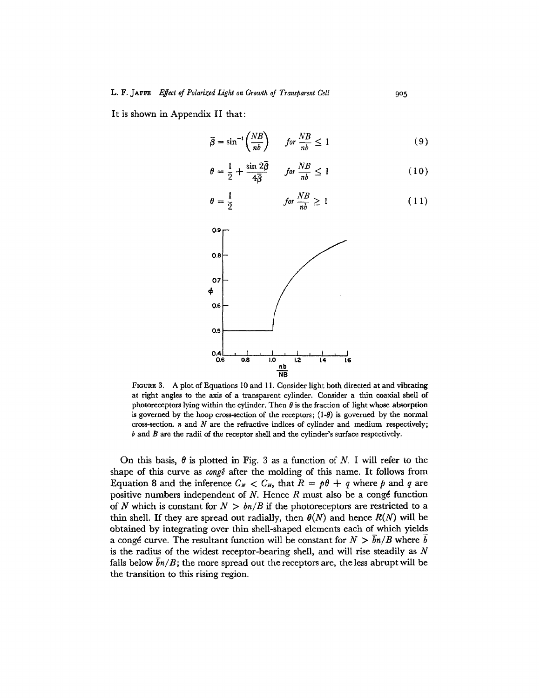It is shown in Appendix II that:

$$
\overline{\beta} = \sin^{-1}\left(\frac{NB}{nb}\right) \qquad \text{for } \frac{NB}{nb} \le 1 \tag{9}
$$

$$
\theta = \frac{1}{2} + \frac{\sin 2\bar{\beta}}{4\bar{\beta}} \qquad \text{for } \frac{NB}{nb} \le 1 \tag{10}
$$

$$
\theta = \frac{1}{2} \qquad \qquad \text{for } \frac{NB}{nb} \ge 1 \qquad (11)
$$



FIGURE 3. A plot of Equations 10 and 11. Consider light both directed at and vibrating at right angles to the axis of a transparent cylinder. Consider a thin coaxial shell of photoreceptors lying within the cylinder. Then  $\theta$  is the fraction of light whose absorption is governed by the hoop cross-section of the receptors;  $(1-\theta)$  is governed by the normal cross-section.  $n$  and  $N$  are the refractive indices of cylinder and medium respectively; b and B are the radii of the receptor shell and the cylinder's surface respectively.

On this basis,  $\theta$  is plotted in Fig. 3 as a function of N. I will refer to the shape of this curve as *congé* after the molding of this name. It follows from Equation 8 and the inference  $C_N < C_H$ , that  $R = p\theta + q$  where p and q are positive numbers independent of  $N$ . Hence  $R$  must also be a congé function of N which is constant for  $N > bn/B$  if the photoreceptors are restricted to a thin shell. If they are spread out radially, then  $\theta(N)$  and hence  $R(N)$  will be obtained by integrating over thin shell-shaped elements each of which yields a congé curve. The resultant function will be constant for  $N > bn/B$  where b is the radius of the widest receptor-bearing shell, and will rise steadily as  $N$ falls below  $\overline{b}n/B$ ; the more spread out the receptors are, the less abrupt will be the transition to this rising region.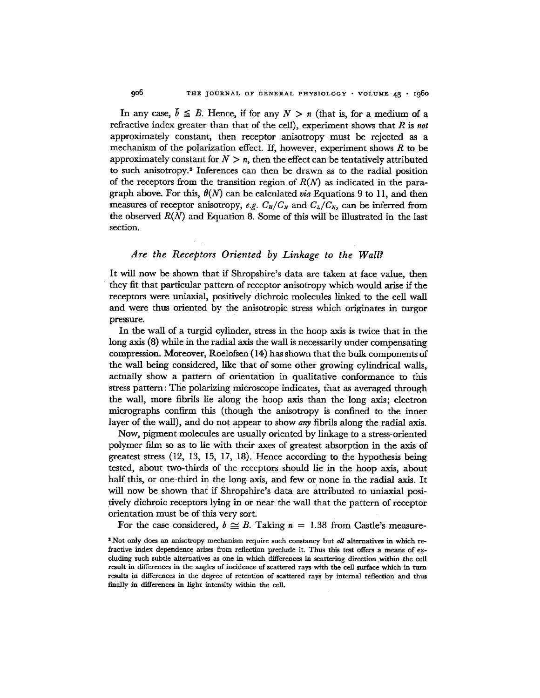In any case,  $\bar{b} \leq B$ . Hence, if for any  $N > n$  (that is, for a medium of a refractive index greater than that of the cell), experiment shows that *R is not*  approximately constant, then receptor anisotropy must be rejected as a mechanism of the polarization effect. If, however, experiment shows  $R$  to be approximately constant for  $N > n$ , then the effect can be tentatively attributed to such anisotropy.<sup>2</sup> Inferences can then be drawn as to the radial position of the receptors from the transition region of  $R(N)$  as indicated in the paragraph above. For this,  $\theta(N)$  can be calculated *via* Equations 9 to 11, and then measures of receptor anisotropy, *e.g.*  $C_H/C_N$  and  $C_L/C_N$ , can be inferred from the observed  $R(N)$  and Equation 8. Some of this will be illustrated in the last section.

## *Are the Receptors Oriented by Linkage to the Wall?*

It will now be shown that if Shropshire's data are taken at face value, then • they fit that particular pattern of receptor anisotropy which would arise if the receptors were uniaxial, positively dichroic molecules linked to the cell wall and were thus oriented by the anisotropic stress which originates in turgor pressure.

In the wall of a turgid cylinder, stress in the hoop axis is twice that in the long axis (8) while in the radial axis the wall is neeessarily under compensating compression. Moreover, Roelofsen (14) has shown that the bulk components of the wall being considered, like that of some other growing cylindrical walls, actually show a pattern of orientation in qualitative conformance to this stress pattern: The polarizing microscope indicates, that as averaged through the wall, more fibrils lie along the hoop axis than the long axis; electron micrographs confirm this (though the anisotropy is confined to the inner layer of the wall), and do not appear to show *any* fibrils along the radial axis.

Now, pigment molecules are usually oriented by linkage to a stress-oriented polymer film so as to lie with their axes of greatest absorption in the axis of greatest stress (12, 13, 15, 17, 18). Hence according to the hypothesis being tested, about two-thirds of the receptors should lie in the hoop axis, about half this, or one-third in the long axis, and few or none in the radial axis. It will now be shown that if Shropshire's data are attributed to uniaxial positively dichroic receptors lying in or near the wall that the pattern of receptor orientation must be of this very sort.

For the case considered,  $b \approx B$ . Taking  $n = 1.38$  from Castle's measure-

s Not only does an anlsotropy mechanism require such conztancy but *all* alternatives in which refractive index dependence arises from reflection preclude it. Thus this test offers a means of excluding such subtle alternatives as one in which differences in scattering direction within the cell result in differences in the angles of incidence of scattered rays with the cell sm'facc which in turn results in differences in the degree of retention of scattered rays by internal reflection and thus finally in differences in light intensity within the cell.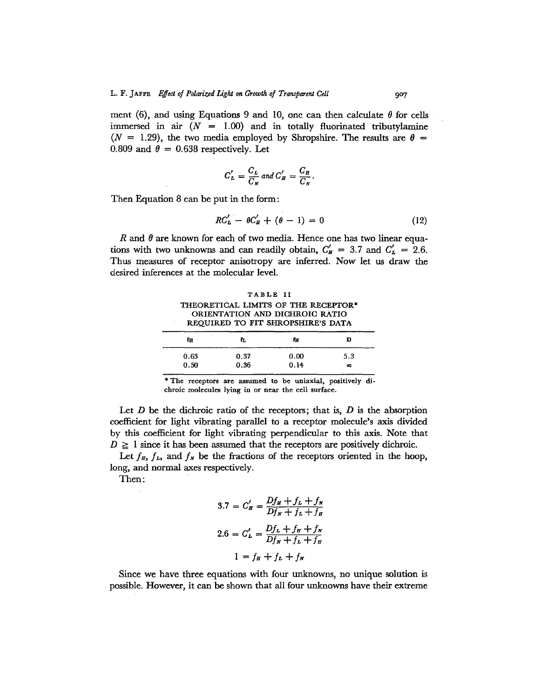ment (6), and using Equations 9 and 10, one can then calculate  $\theta$  for cells immersed in air  $(N = 1.00)$  and in totally fluorinated tributylamine  $(N = 1.29)$ , the two media employed by Shropshire. The results are  $\theta =$ 0.809 and  $\theta = 0.638$  respectively. Let

$$
C'_L = \frac{C_L}{C_N} \text{ and } C'_H = \frac{C_H}{C_N}
$$

Then Equation 8 can be put in the form:

$$
RC_{L}' - \theta C_{H}' + (\theta - 1) = 0 \qquad (12)
$$

R and  $\theta$  are known for each of two media. Hence one has two linear equations with two unknowns and can readily obtain,  $C'_{H} = 3.7$  and  $C'_{L} = 2.6$ . Thus measures of receptor anisotropy are inferred. Now let us draw the desired inferences at the molecular level.

TABLE II THEORETICAL LIMITS OF THE RECEPTOR\* ORIENTATION AND DICHROIC RATIO REQUIRED TO FIT SHROPSHIRE'S DATA

| fн   | fr.  | fN   | D   |
|------|------|------|-----|
| 0.63 | 0.37 | 0.00 | 5.3 |
| 0.50 | 0.36 | 0.14 | œ   |

\* The receptors are assumed to be tmiaxial, positively dichroic molecules lying in or near the cell surface.

Let  $D$  be the dichroic ratio of the receptors; that is,  $D$  is the absorption coefficient for light vibrating parallel to a receptor molecule's axis divided by this coefficient for light vibrating perpendicular to this axis. Note that  $D \geq 1$  since it has been assumed that the receptors are positively dichroic.

Let  $f_{\pi}$ ,  $f_{\pi}$ , and  $f_{\pi}$  be the fractions of the receptors oriented in the hoop, long, and normal axes respectively.

Then:

$$
3.7 = C'_H = \frac{Df_H + f_L + f_N}{Df_N + f_L + f_H}
$$

$$
2.6 = C'_L = \frac{Df_L + f_H + f_N}{Df_N + f_L + f_H}
$$

$$
1 = f_H + f_L + f_N
$$

Since we have three equations with four unknowns, no unique solution is possible. However, it can be shown that all four unknowns have their extreme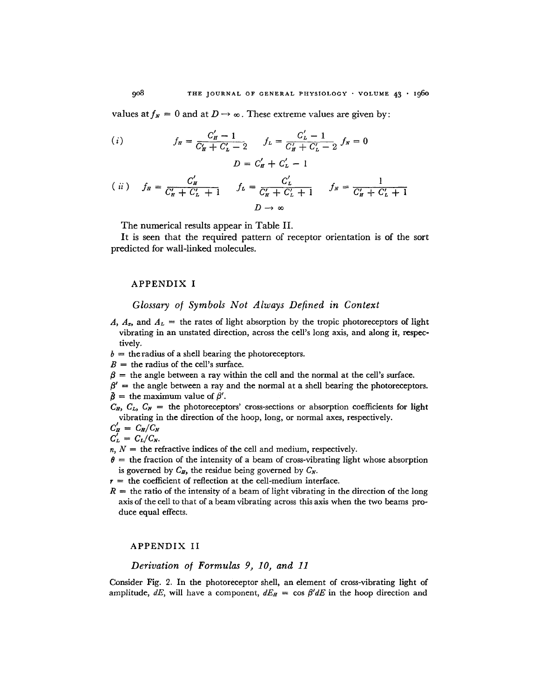values at  $f_N = 0$  and at  $D \to \infty$ . These extreme values are given by:

(*i*) 
$$
f_{\mathbf{H}} = \frac{C_{\mathbf{H}}' - 1}{C_{\mathbf{H}}' + C_{\mathbf{L}}' - 2} \qquad f_{\mathbf{L}} = \frac{C_{\mathbf{L}}' - 1}{C_{\mathbf{H}}' + C_{\mathbf{L}}' - 2} f_{\mathbf{N}} = 0
$$

$$
D = C_{\mathbf{H}}' + C_{\mathbf{L}}' - 1
$$

$$
(ii) \t f_H = \frac{C'_H}{C'_H + C'_L + 1} \t f_L = \frac{C'_L}{C'_H + C'_L + 1} \t f_N = \frac{1}{C'_H + C'_L + 1}
$$
  

$$
D \to \infty
$$

The numerical results appear in Table II.

It is seen that the required pattern of receptor orientation is of the sort predicted for wall-linked molecules.

#### APPENDIX I

### *Glossary of Symbols Not Always Defined in Context*

A,  $A_z$ , and  $A_L$  = the rates of light absorption by the tropic photoreceptors of light vibrating in an unstated direction, across the cell's long axis, and along it, respectively.

 $b =$  the radius of a shell bearing the photoreceptors.

 $B =$  the radius of the cell's surface.

 $\beta =$  the angle between a ray within the cell and the normal at the cell's surface.

 $\beta'$  = the angle between a ray and the normal at a shell bearing the photoreceptors.  $\bar{\beta}$  = the maximum value of  $\beta'$ .

 $C_H, C_L, C_N$  = the photoreceptors' cross-sections or absorption coefficients for light vibrating in the direction of the hoop, long, or normal axes, respectively.

$$
C'_H = C_H/C_N
$$
  

$$
C'_L = C_L/C_N.
$$

 $n, N =$  the refractive indices of the cell and medium, respectively.

 $\theta$  = the fraction of the intensity of a beam of cross-vibrating light whose absorption is governed by  $C_H$ , the residue being governed by  $C_N$ .

 $r =$  the coefficient of reflection at the cell-medium interface.

 $R =$  the ratio of the intensity of a beam of light vibrating in the direction of the long axis of the cell to that of a beam vibrating across this axis when the two beams produce equal effects.

#### APPENDIX II

# *Derivation of Formulas P, 10, and 11*

Consider Fig. 2. In the photoreceptor shell, an element of cross-vibrating light of amplitude,  $dE$ , will have a component,  $dE<sub>H</sub> = \cos \beta' dE$  in the hoop direction and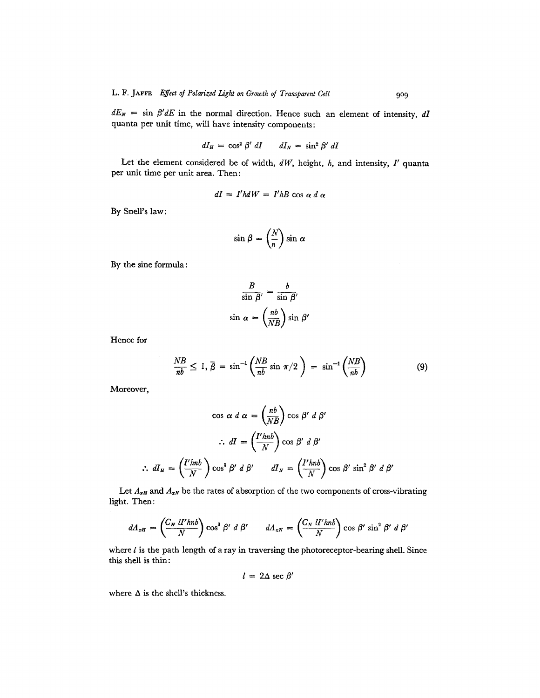$dE_{N}$  = sin  $\beta' dE$  in the normal direction. Hence such an element of intensity, *dI* quanta per unit time, will have intensity components:

$$
dI_H = \cos^2 \beta' \, dI \qquad dI_N = \sin^2 \beta' \, dI
$$

Let the element considered be of width, *dW,* height, h, and intensity, *I'* quanta per unit time per unit area. Then:

$$
dI = I'hdW = I'hB \cos \alpha d \alpha
$$

By Snell's law:

$$
\sin \beta = \left(\frac{N}{n}\right) \sin \alpha
$$

By the sine formula:

$$
\frac{B}{\sin \beta'} = \frac{b}{\sin \beta'}
$$

$$
\sin \alpha = \left(\frac{nb}{NB}\right) \sin \beta'
$$

Hence for

$$
\frac{NB}{nb} \le 1, \overline{\beta} = \sin^{-1}\left(\frac{NB}{nb}\sin \pi/2\right) = \sin^{-1}\left(\frac{NB}{nb}\right) \tag{9}
$$

Moreover,

$$
\cos \alpha \, d \alpha = \left(\frac{nb}{NB}\right) \cos \beta' \, d \beta'
$$
  

$$
\therefore \, dI = \left(\frac{I' h n b}{N}\right) \cos \beta' \, d \beta'
$$
  

$$
\therefore \, dI_H = \left(\frac{I' h n b}{N}\right) \cos^3 \beta' \, d \beta' \qquad dI_N = \left(\frac{I' h n b}{N}\right) \cos \beta' \sin^2 \beta' \, d \beta'
$$

Let  $A_{xH}$  and  $A_{xN}$  be the rates of absorption of the two components of cross-vibrating light. Then:

$$
dA_{xH} = \left(\frac{C_H \; ll' h n b}{N}\right) \cos^3 \beta' \; d\;\beta' \qquad dA_{xN} = \left(\frac{C_N \; ll' h n b}{N}\right) \cos \beta' \sin^2 \beta' \; d\;\beta'
$$

where  $l$  is the path length of a ray in traversing the photoreceptor-bearing shell. Since this shell is thin:

$$
l = 2\Delta \sec \beta'
$$

where  $\Delta$  is the shell's thickness.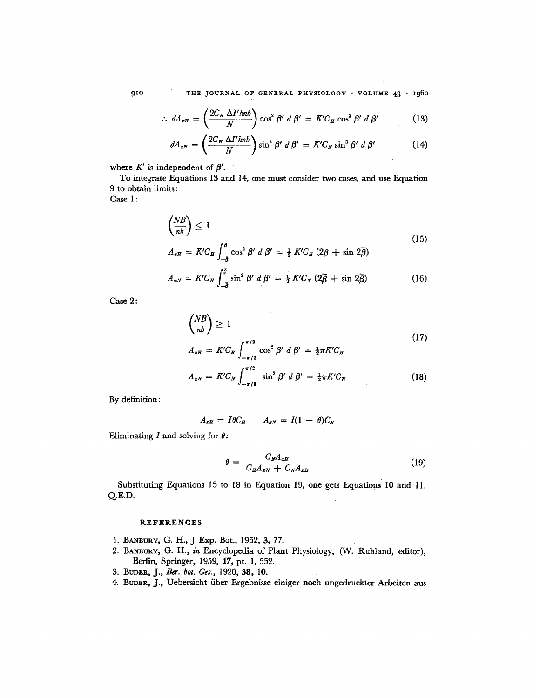910 THE JOURNAL OF GENERAL PHYSIOLOGY · VOLUME 43 · 1960

$$
\therefore dA_{xH} = \left(\frac{2C_H \Delta I' h n b}{N}\right) \cos^2 \beta' d \beta' = K'C_H \cos^2 \beta' d \beta'
$$
 (13)

$$
dA_{xN} = \left(\frac{2C_N \Delta I' h n b}{N}\right) \sin^2 \beta' d \beta' = K'C_N \sin^2 \beta' d \beta'
$$
 (14)

where  $K'$  is independent of  $\beta'$ .

To integrate Equations 13 and 14, one must consider two cases, and use Equation 9 to obtain limits:

Case 1:

$$
\left(\frac{NB}{nb}\right) \le 1\tag{15}
$$

 $\bar{z}$ 

$$
A_{\pi H} = K'C_H \int_{-\bar{\delta}}^{\bar{\delta}} \cos^2 \beta' d\beta' = \frac{1}{2} K'C_H (2\bar{\beta} + \sin 2\bar{\beta})
$$

$$
A_{\pi N} = K' C_N \int_{-\bar{\theta}}^{\bar{\theta}} \sin^2 \beta' \ d\ \beta' = \frac{1}{2} K' C_N \ (2\bar{\beta} + \sin \ 2\bar{\beta}) \tag{16}
$$

Case 2:

$$
\left(\frac{NB}{nb}\right) \ge 1
$$
\n
$$
A_{xH} = K'C_H \int_{-\pi/2}^{\pi/2} \cos^2 \beta' d\beta' = \frac{1}{2}\pi K'C_H
$$
\n
$$
A_{xN} = K'C_N \int_{-\pi/2}^{\pi/2} \sin^2 \beta' d\beta' = \frac{1}{2}\pi K'C_N
$$
\n(18)

By definition:

$$
A_{xH} = I\theta C_H \qquad A_{xN} = I(1 - \theta)C_N
$$

Eliminating I and solving for  $\theta$ :

$$
\theta = \frac{C_N A_{zH}}{C_H A_{zN} + C_N A_{zH}}
$$
(19)

Substituting Equations 15 to 18 in Equation 19, one gets Equations 10 and ll. Q.E.D.

#### **REFERENCES**

- 1. BANBURY, G. H., J Exp. Bot., 1952, 3, 77.
- *2. BAm3lmY, G. H., in* Encyclopedia of Plant Physiology, (W. Ruhland, editor), Berlin, Springer, 1959, 17, pt. 1, 552.
- *3. Btmm~, J., Ber. bot. Ges.,* 1920, 38, 10.
- 4. BUDER, J., Uebersicht über Ergebnisse einiger noch ungedruckter Arbeiten aus